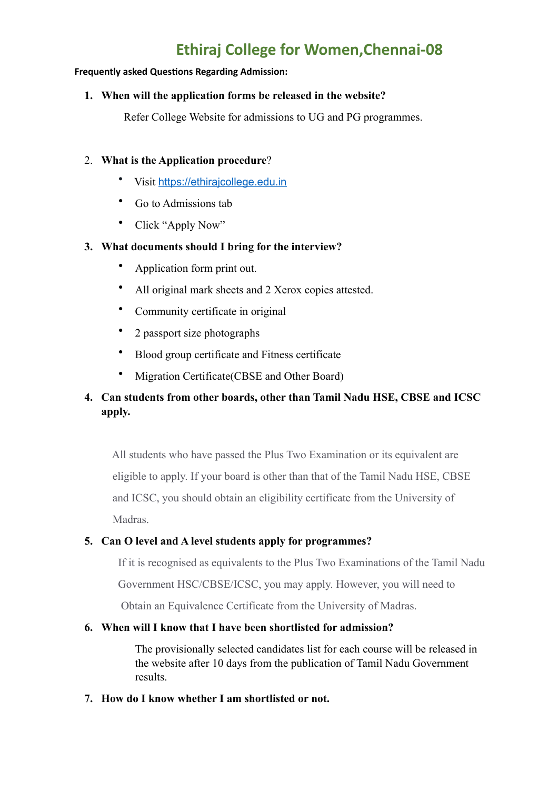# **Ethiraj College for Women,Chennai-08**

#### **Frequently asked Questions Regarding Admission:**

#### **1. When will the application forms be released in the website?**

Refer College Website for admissions to UG and PG programmes.

#### 2. **What is the Application procedure**?

- Visit <https://ethirajcollege.edu.in>
- Go to Admissions tab
- Click "Apply Now"

#### **3. What documents should I bring for the interview?**

- Application form print out.
- All original mark sheets and 2 Xerox copies attested.
- Community certificate in original
- 2 passport size photographs
- Blood group certificate and Fitness certificate
- Migration Certificate(CBSE and Other Board)

## **4. Can students from other boards, other than Tamil Nadu HSE, CBSE and ICSC apply.**

 All students who have passed the Plus Two Examination or its equivalent are eligible to apply. If your board is other than that of the Tamil Nadu HSE, CBSE and ICSC, you should obtain an eligibility certificate from the University of Madras.

## **5. Can O level and A level students apply for programmes?**

If it is recognised as equivalents to the Plus Two Examinations of the Tamil Nadu Government HSC/CBSE/ICSC, you may apply. However, you will need to Obtain an Equivalence Certificate from the University of Madras.

## **6. When will I know that I have been shortlisted for admission?**

The provisionally selected candidates list for each course will be released in the website after 10 days from the publication of Tamil Nadu Government results.

## **7. How do I know whether I am shortlisted or not.**